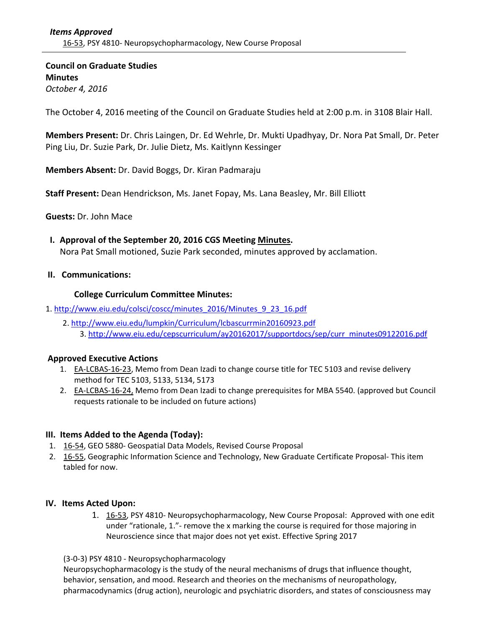**Council on Graduate Studies Minutes** *October 4, 2016*

The October 4, 2016 meeting of the Council on Graduate Studies held at 2:00 p.m. in 3108 Blair Hall.

**Members Present:** Dr. Chris Laingen, Dr. Ed Wehrle, Dr. Mukti Upadhyay, Dr. Nora Pat Small, Dr. Peter Ping Liu, Dr. Suzie Park, Dr. Julie Dietz, Ms. Kaitlynn Kessinger

**Members Absent:** Dr. David Boggs, Dr. Kiran Padmaraju

**Staff Present:** Dean Hendrickson, Ms. Janet Fopay, Ms. Lana Beasley, Mr. Bill Elliott

**Guests:** Dr. John Mace

 **I. Approval of the September 20, 2016 CGS Meeting [Minutes.](http://castle.eiu.edu/eiucgs/currentminutes/Minutes09-20-16.pdf)** Nora Pat Small motioned, Suzie Park seconded, minutes approved by acclamation.

## **II. Communications:**

### **College Curriculum Committee Minutes:**

- 1. [http://www.eiu.edu/colsci/coscc/minutes\\_2016/Minutes\\_9\\_23\\_16.pdf](http://www.eiu.edu/colsci/coscc/minutes_2016/Minutes_9_23_16.pdf)
	- 2. <http://www.eiu.edu/lumpkin/Curriculum/lcbascurrmin20160923.pdf> 3. [http://www.eiu.edu/cepscurriculum/ay20162017/supportdocs/sep/curr\\_minutes09122016.pdf](http://www.eiu.edu/cepscurriculum/ay20162017/supportdocs/sep/curr_minutes09122016.pdf)

## **Approved Executive Actions**

- 1. **EA-[LCBAS](http://castle.eiu.edu/eiucgs/exec-actions/EA-LCBAS-16-23.pdf)-16-23**, Memo from Dean Izadi to change course title for TEC 5103 and revise delivery method for TEC 5103, 5133, 5134, 5173
- 2. EA-[LCBAS](http://castle.eiu.edu/eiucgs/exec-actions/EA-LCBAS-16-24.pdf)-16-24, Memo from Dean Izadi to change prerequisites for MBA 5540. (approved but Council requests rationale to be included on future actions)

## **III. Items Added to the Agenda (Today):**

- 1. 16‐[54,](http://castle.eiu.edu/eiucgs/currentagendaitems/agenda16-54.pdf) GEO 5880‐ Geospatial Data Models, Revised Course Proposal
- 2. 16‐[55,](http://castle.eiu.edu/eiucgs/currentagendaitems/agenda16-55.pdf) Geographic Information Science and Technology, New Graduate Certificate Proposal-This item tabled for now.

## **IV. Items Acted Upon:**

1. 16-[53,](http://castle.eiu.edu/eiucgs/currentagendaitems/agenda16-53.pdf) PSY 4810- Neuropsychopharmacology, New Course Proposal: Approved with one edit under "rationale, 1." - remove the x marking the course is required for those majoring in Neuroscience since that major does not yet exist. Effective Spring 2017

(3‐0‐3) PSY 4810 ‐ Neuropsychopharmacology

Neuropsychopharmacology is the study of the neural mechanisms of drugs that influence thought, behavior, sensation, and mood. Research and theories on the mechanisms of neuropathology, pharmacodynamics (drug action), neurologic and psychiatric disorders, and states of consciousness may